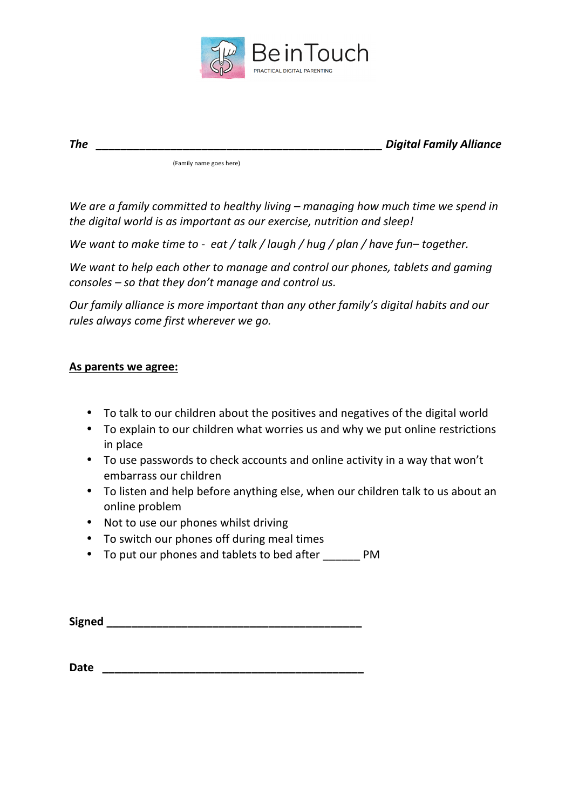

*The \_\_\_\_\_\_\_\_\_\_\_\_\_\_\_\_\_\_\_\_\_\_\_\_\_\_\_\_\_\_\_\_\_\_\_\_\_\_\_\_\_\_\_\_\_\_ Digital Family Alliance*

(Family name goes here)

We are a family committed to healthy living – managing how much time we spend in the digital world is as important as our exercise, nutrition and sleep!

*We* want to make time to - eat / talk / laugh / hug / plan / have fun– together.

We want to help each other to manage and control our phones, tablets and gaming *consoles* – *so* that they don't manage and control us.

*Our family alliance is more important than any other family's digital habits and our* rules always come first wherever we go.

## **As parents we agree:**

- To talk to our children about the positives and negatives of the digital world
- To explain to our children what worries us and why we put online restrictions in place
- To use passwords to check accounts and online activity in a way that won't embarrass our children
- To listen and help before anything else, when our children talk to us about an online problem
- Not to use our phones whilst driving
- To switch our phones off during meal times
- To put our phones and tablets to bed after \_\_\_\_\_\_ PM

| <b>Signed</b> |  |
|---------------|--|
|               |  |

**Date Date**